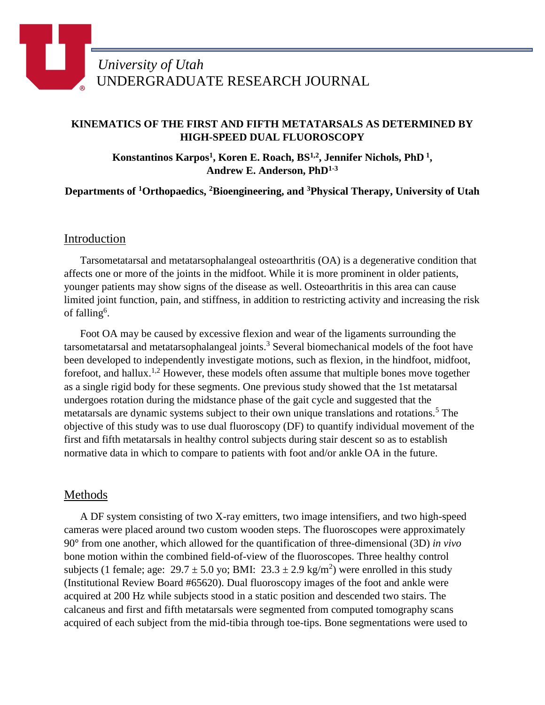## **KINEMATICS OF THE FIRST AND FIFTH METATARSALS AS DETERMINED BY HIGH-SPEED DUAL FLUOROSCOPY**

**Konstantinos Karpos<sup>1</sup> , Koren E. Roach, BS1,2, Jennifer Nichols, PhD <sup>1</sup> , Andrew E. Anderson, PhD1-3**

**Departments of <sup>1</sup>Orthopaedics, <sup>2</sup>Bioengineering, and <sup>3</sup>Physical Therapy, University of Utah**

### Introduction

Tarsometatarsal and metatarsophalangeal osteoarthritis (OA) is a degenerative condition that affects one or more of the joints in the midfoot. While it is more prominent in older patients, younger patients may show signs of the disease as well. Osteoarthritis in this area can cause limited joint function, pain, and stiffness, in addition to restricting activity and increasing the risk of falling<sup>6</sup>.

Foot OA may be caused by excessive flexion and wear of the ligaments surrounding the tarsometatarsal and metatarsophalangeal joints.<sup>3</sup> Several biomechanical models of the foot have been developed to independently investigate motions, such as flexion, in the hindfoot, midfoot, forefoot, and hallux.<sup>1,2</sup> However, these models often assume that multiple bones move together as a single rigid body for these segments. One previous study showed that the 1st metatarsal undergoes rotation during the midstance phase of the gait cycle and suggested that the metatarsals are dynamic systems subject to their own unique translations and rotations.<sup>5</sup> The objective of this study was to use dual fluoroscopy (DF) to quantify individual movement of the first and fifth metatarsals in healthy control subjects during stair descent so as to establish normative data in which to compare to patients with foot and/or ankle OA in the future.

## Methods

A DF system consisting of two X-ray emitters, two image intensifiers, and two high-speed cameras were placed around two custom wooden steps. The fluoroscopes were approximately 90° from one another, which allowed for the quantification of three-dimensional (3D) *in vivo* bone motion within the combined field-of-view of the fluoroscopes. Three healthy control subjects (1 female; age:  $29.7 \pm 5.0$  yo; BMI:  $23.3 \pm 2.9$  kg/m<sup>2</sup>) were enrolled in this study (Institutional Review Board #65620). Dual fluoroscopy images of the foot and ankle were acquired at 200 Hz while subjects stood in a static position and descended two stairs. The calcaneus and first and fifth metatarsals were segmented from computed tomography scans acquired of each subject from the mid-tibia through toe-tips. Bone segmentations were used to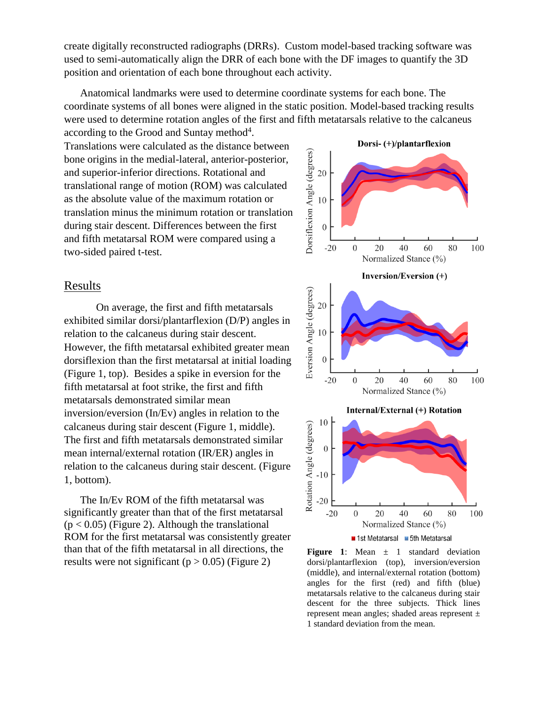create digitally reconstructed radiographs (DRRs). Custom model-based tracking software was used to semi-automatically align the DRR of each bone with the DF images to quantify the 3D position and orientation of each bone throughout each activity.

Anatomical landmarks were used to determine coordinate systems for each bone. The coordinate systems of all bones were aligned in the static position. Model-based tracking results were used to determine rotation angles of the first and fifth metatarsals relative to the calcaneus

according to the Grood and Suntay method $4$ . Translations were calculated as the distance between bone origins in the medial-lateral, anterior-posterior, and superior-inferior directions. Rotational and translational range of motion (ROM) was calculated as the absolute value of the maximum rotation or translation minus the minimum rotation or translation during stair descent. Differences between the first and fifth metatarsal ROM were compared using a two-sided paired t-test.

# Results

On average, the first and fifth metatarsals exhibited similar dorsi/plantarflexion (D/P) angles in relation to the calcaneus during stair descent. However, the fifth metatarsal exhibited greater mean dorsiflexion than the first metatarsal at initial loading [\(Figure 1,](#page-1-0) top). Besides a spike in eversion for the fifth metatarsal at foot strike, the first and fifth metatarsals demonstrated similar mean inversion/eversion (In/Ev) angles in relation to the calcaneus during stair descent [\(Figure 1,](#page-1-0) middle). The first and fifth metatarsals demonstrated similar mean internal/external rotation (IR/ER) angles in relation to the calcaneus during stair descent. [\(Figure](#page-1-0)  [1,](#page-1-0) bottom).

The In/Ev ROM of the fifth metatarsal was significantly greater than that of the first metatarsal  $(p < 0.05)$  (Figure 2). Although the translational ROM for the first metatarsal was consistently greater than that of the fifth metatarsal in all directions, the results were not significant ( $p > 0.05$ ) [\(Figure 2\)](#page-2-0)



<span id="page-1-0"></span>**Figure 1:** Mean  $\pm$  1 standard deviation dorsi/plantarflexion (top), inversion/eversion (middle), and internal/external rotation (bottom) angles for the first (red) and fifth (blue) metatarsals relative to the calcaneus during stair descent for the three subjects. Thick lines represent mean angles; shaded areas represent ± 1 standard deviation from the mean.